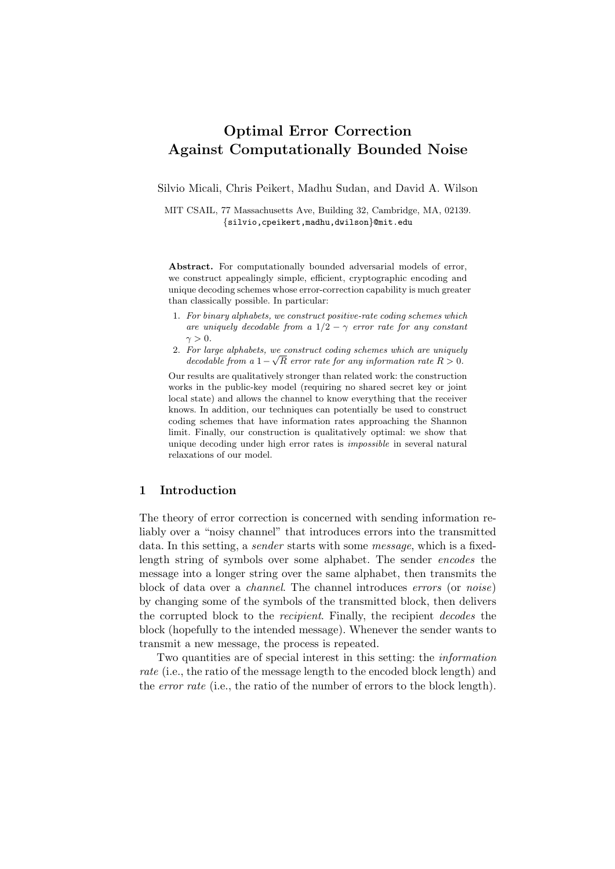# Optimal Error Correction Against Computationally Bounded Noise

Silvio Micali, Chris Peikert, Madhu Sudan, and David A. Wilson

MIT CSAIL, 77 Massachusetts Ave, Building 32, Cambridge, MA, 02139. {silvio,cpeikert,madhu,dwilson}@mit.edu

Abstract. For computationally bounded adversarial models of error, we construct appealingly simple, efficient, cryptographic encoding and unique decoding schemes whose error-correction capability is much greater than classically possible. In particular:

- 1. For binary alphabets, we construct positive-rate coding schemes which are uniquely decodable from a  $1/2 - \gamma$  error rate for any constant  $\gamma > 0$ .
- 2. For large alphabets, we construct coding schemes which are uniquely decodable from a  $1 - √R$  error rate for any information rate  $R > 0$ .

Our results are qualitatively stronger than related work: the construction works in the public-key model (requiring no shared secret key or joint local state) and allows the channel to know everything that the receiver knows. In addition, our techniques can potentially be used to construct coding schemes that have information rates approaching the Shannon limit. Finally, our construction is qualitatively optimal: we show that unique decoding under high error rates is impossible in several natural relaxations of our model.

## 1 Introduction

The theory of error correction is concerned with sending information reliably over a "noisy channel" that introduces errors into the transmitted data. In this setting, a *sender* starts with some *message*, which is a fixedlength string of symbols over some alphabet. The sender encodes the message into a longer string over the same alphabet, then transmits the block of data over a channel. The channel introduces errors (or noise) by changing some of the symbols of the transmitted block, then delivers the corrupted block to the recipient. Finally, the recipient decodes the block (hopefully to the intended message). Whenever the sender wants to transmit a new message, the process is repeated.

Two quantities are of special interest in this setting: the information rate (i.e., the ratio of the message length to the encoded block length) and the *error rate* (i.e., the ratio of the number of errors to the block length).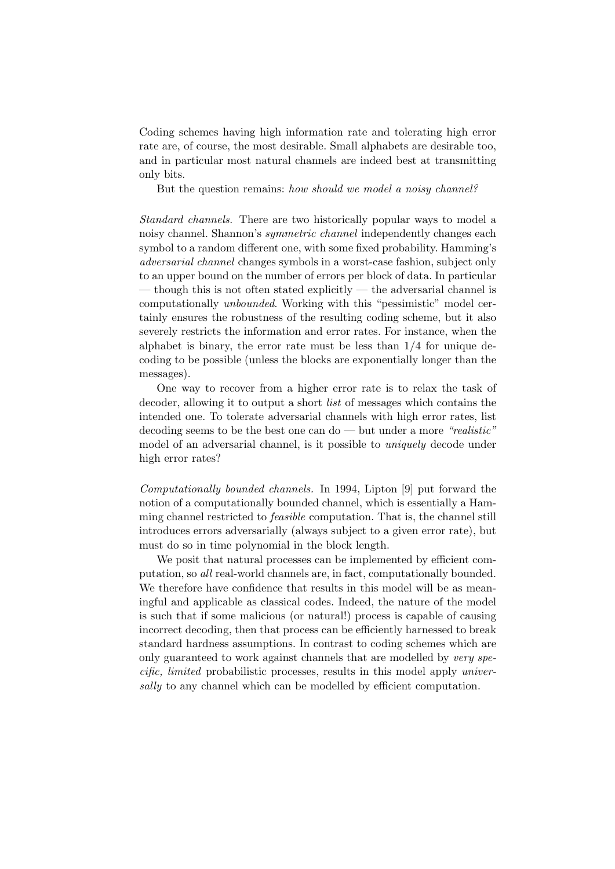Coding schemes having high information rate and tolerating high error rate are, of course, the most desirable. Small alphabets are desirable too, and in particular most natural channels are indeed best at transmitting only bits.

But the question remains: how should we model a noisy channel?

Standard channels. There are two historically popular ways to model a noisy channel. Shannon's symmetric channel independently changes each symbol to a random different one, with some fixed probability. Hamming's adversarial channel changes symbols in a worst-case fashion, subject only to an upper bound on the number of errors per block of data. In particular — though this is not often stated explicitly — the adversarial channel is computationally unbounded. Working with this "pessimistic" model certainly ensures the robustness of the resulting coding scheme, but it also severely restricts the information and error rates. For instance, when the alphabet is binary, the error rate must be less than 1/4 for unique decoding to be possible (unless the blocks are exponentially longer than the messages).

One way to recover from a higher error rate is to relax the task of decoder, allowing it to output a short *list* of messages which contains the intended one. To tolerate adversarial channels with high error rates, list decoding seems to be the best one can do — but under a more "realistic" model of an adversarial channel, is it possible to uniquely decode under high error rates?

Computationally bounded channels. In 1994, Lipton [9] put forward the notion of a computationally bounded channel, which is essentially a Hamming channel restricted to *feasible* computation. That is, the channel still introduces errors adversarially (always subject to a given error rate), but must do so in time polynomial in the block length.

We posit that natural processes can be implemented by efficient computation, so all real-world channels are, in fact, computationally bounded. We therefore have confidence that results in this model will be as meaningful and applicable as classical codes. Indeed, the nature of the model is such that if some malicious (or natural!) process is capable of causing incorrect decoding, then that process can be efficiently harnessed to break standard hardness assumptions. In contrast to coding schemes which are only guaranteed to work against channels that are modelled by very specific, limited probabilistic processes, results in this model apply universally to any channel which can be modelled by efficient computation.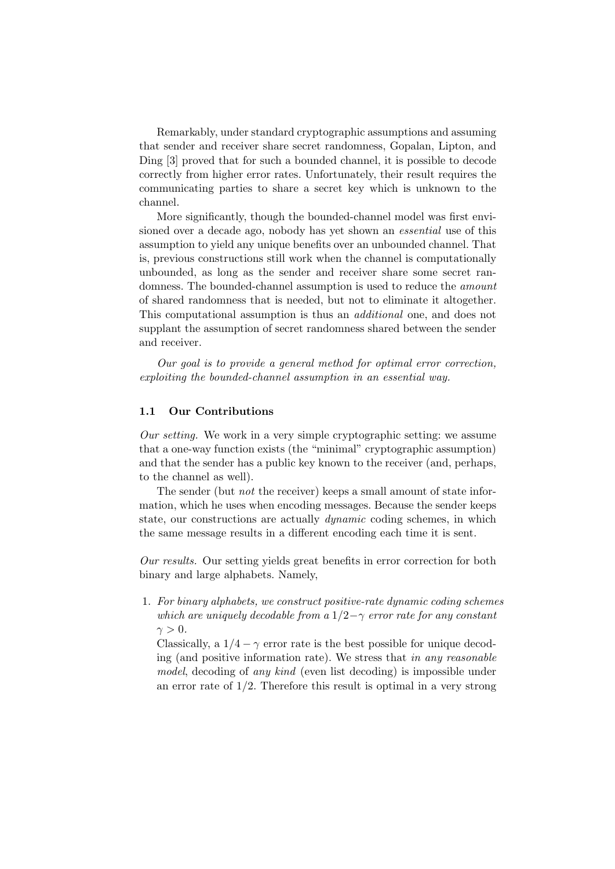Remarkably, under standard cryptographic assumptions and assuming that sender and receiver share secret randomness, Gopalan, Lipton, and Ding [3] proved that for such a bounded channel, it is possible to decode correctly from higher error rates. Unfortunately, their result requires the communicating parties to share a secret key which is unknown to the channel.

More significantly, though the bounded-channel model was first envisioned over a decade ago, nobody has yet shown an *essential* use of this assumption to yield any unique benefits over an unbounded channel. That is, previous constructions still work when the channel is computationally unbounded, as long as the sender and receiver share some secret randomness. The bounded-channel assumption is used to reduce the amount of shared randomness that is needed, but not to eliminate it altogether. This computational assumption is thus an additional one, and does not supplant the assumption of secret randomness shared between the sender and receiver.

Our goal is to provide a general method for optimal error correction, exploiting the bounded-channel assumption in an essential way.

## 1.1 Our Contributions

Our setting. We work in a very simple cryptographic setting: we assume that a one-way function exists (the "minimal" cryptographic assumption) and that the sender has a public key known to the receiver (and, perhaps, to the channel as well).

The sender (but *not* the receiver) keeps a small amount of state information, which he uses when encoding messages. Because the sender keeps state, our constructions are actually *dynamic* coding schemes, in which the same message results in a different encoding each time it is sent.

Our results. Our setting yields great benefits in error correction for both binary and large alphabets. Namely,

1. For binary alphabets, we construct positive-rate dynamic coding schemes which are uniquely decodable from a  $1/2 - \gamma$  error rate for any constant  $\gamma > 0$ .

Classically, a  $1/4 - \gamma$  error rate is the best possible for unique decoding (and positive information rate). We stress that in any reasonable model, decoding of any kind (even list decoding) is impossible under an error rate of  $1/2$ . Therefore this result is optimal in a very strong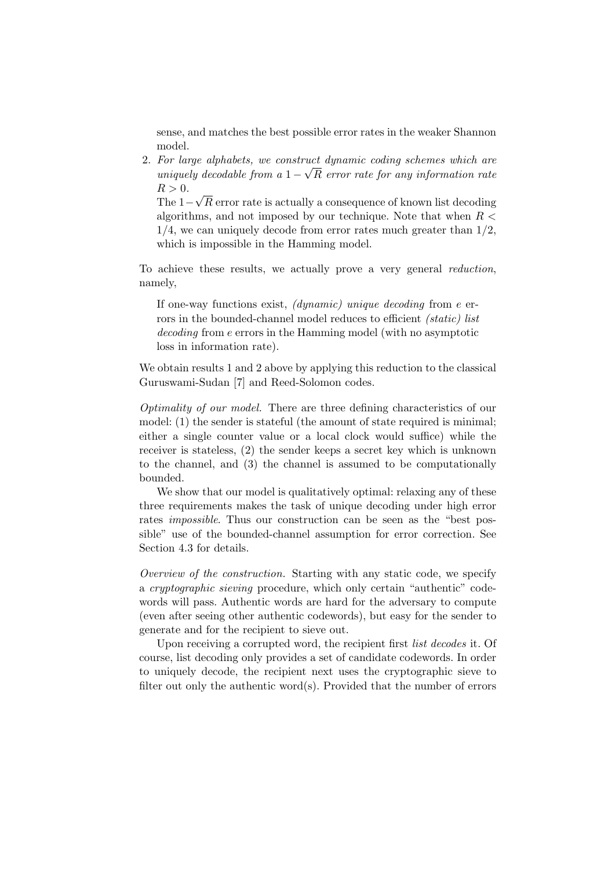sense, and matches the best possible error rates in the weaker Shannon model.

2. For large alphabets, we construct dynamic coding schemes which are uniquely decodable from a  $1 - \sqrt{R}$  error rate for any information rate  $R > 0$ . √

The 1− R error rate is actually a consequence of known list decoding algorithms, and not imposed by our technique. Note that when  $R <$  $1/4$ , we can uniquely decode from error rates much greater than  $1/2$ , which is impossible in the Hamming model.

To achieve these results, we actually prove a very general reduction, namely,

If one-way functions exist, (dynamic) unique decoding from e errors in the bounded-channel model reduces to efficient *(static)* list decoding from e errors in the Hamming model (with no asymptotic loss in information rate).

We obtain results 1 and 2 above by applying this reduction to the classical Guruswami-Sudan [7] and Reed-Solomon codes.

Optimality of our model. There are three defining characteristics of our model: (1) the sender is stateful (the amount of state required is minimal; either a single counter value or a local clock would suffice) while the receiver is stateless, (2) the sender keeps a secret key which is unknown to the channel, and (3) the channel is assumed to be computationally bounded.

We show that our model is qualitatively optimal: relaxing any of these three requirements makes the task of unique decoding under high error rates *impossible*. Thus our construction can be seen as the "best possible" use of the bounded-channel assumption for error correction. See Section 4.3 for details.

Overview of the construction. Starting with any static code, we specify a cryptographic sieving procedure, which only certain "authentic" codewords will pass. Authentic words are hard for the adversary to compute (even after seeing other authentic codewords), but easy for the sender to generate and for the recipient to sieve out.

Upon receiving a corrupted word, the recipient first list decodes it. Of course, list decoding only provides a set of candidate codewords. In order to uniquely decode, the recipient next uses the cryptographic sieve to filter out only the authentic word(s). Provided that the number of errors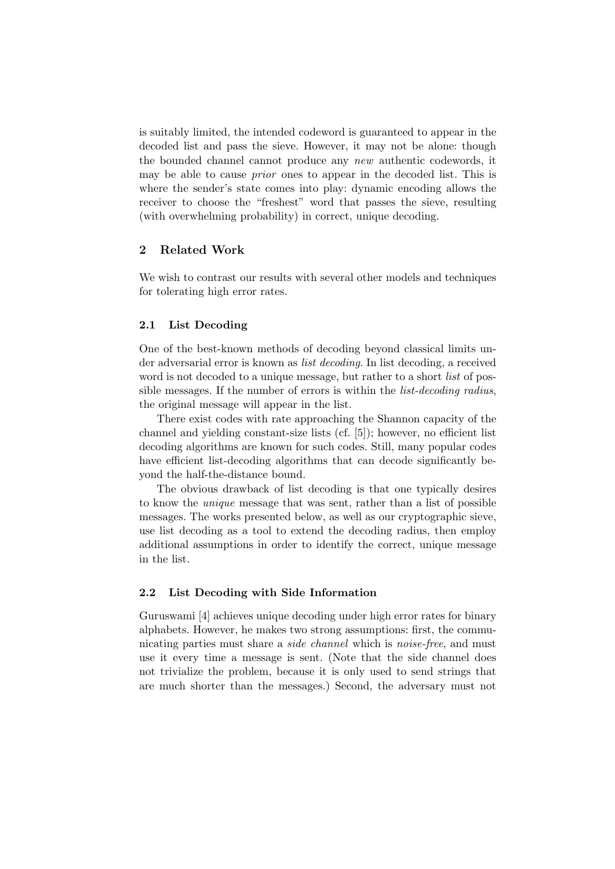is suitably limited, the intended codeword is guaranteed to appear in the decoded list and pass the sieve. However, it may not be alone: though the bounded channel cannot produce any new authentic codewords, it may be able to cause *prior* ones to appear in the decoded list. This is where the sender's state comes into play: dynamic encoding allows the receiver to choose the "freshest" word that passes the sieve, resulting (with overwhelming probability) in correct, unique decoding.

## 2 Related Work

We wish to contrast our results with several other models and techniques for tolerating high error rates.

## 2.1 List Decoding

One of the best-known methods of decoding beyond classical limits under adversarial error is known as list decoding. In list decoding, a received word is not decoded to a unique message, but rather to a short *list* of possible messages. If the number of errors is within the list-decoding radius, the original message will appear in the list.

There exist codes with rate approaching the Shannon capacity of the channel and yielding constant-size lists (cf. [5]); however, no efficient list decoding algorithms are known for such codes. Still, many popular codes have efficient list-decoding algorithms that can decode significantly beyond the half-the-distance bound.

The obvious drawback of list decoding is that one typically desires to know the unique message that was sent, rather than a list of possible messages. The works presented below, as well as our cryptographic sieve, use list decoding as a tool to extend the decoding radius, then employ additional assumptions in order to identify the correct, unique message in the list.

## 2.2 List Decoding with Side Information

Guruswami [4] achieves unique decoding under high error rates for binary alphabets. However, he makes two strong assumptions: first, the communicating parties must share a side channel which is noise-free, and must use it every time a message is sent. (Note that the side channel does not trivialize the problem, because it is only used to send strings that are much shorter than the messages.) Second, the adversary must not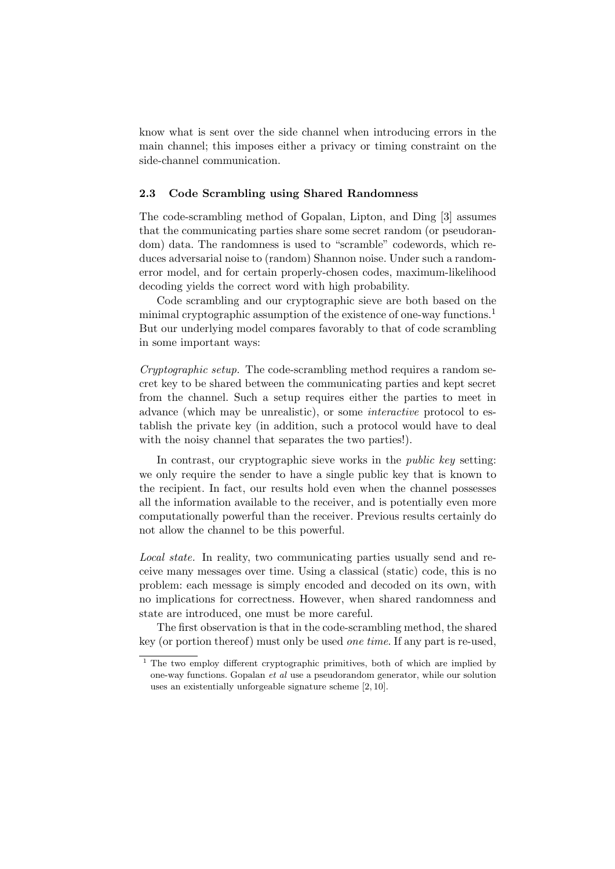know what is sent over the side channel when introducing errors in the main channel; this imposes either a privacy or timing constraint on the side-channel communication.

#### 2.3 Code Scrambling using Shared Randomness

The code-scrambling method of Gopalan, Lipton, and Ding [3] assumes that the communicating parties share some secret random (or pseudorandom) data. The randomness is used to "scramble" codewords, which reduces adversarial noise to (random) Shannon noise. Under such a randomerror model, and for certain properly-chosen codes, maximum-likelihood decoding yields the correct word with high probability.

Code scrambling and our cryptographic sieve are both based on the minimal cryptographic assumption of the existence of one-way functions.<sup>1</sup> But our underlying model compares favorably to that of code scrambling in some important ways:

Cryptographic setup. The code-scrambling method requires a random secret key to be shared between the communicating parties and kept secret from the channel. Such a setup requires either the parties to meet in advance (which may be unrealistic), or some interactive protocol to establish the private key (in addition, such a protocol would have to deal with the noisy channel that separates the two parties!).

In contrast, our cryptographic sieve works in the *public key* setting: we only require the sender to have a single public key that is known to the recipient. In fact, our results hold even when the channel possesses all the information available to the receiver, and is potentially even more computationally powerful than the receiver. Previous results certainly do not allow the channel to be this powerful.

Local state. In reality, two communicating parties usually send and receive many messages over time. Using a classical (static) code, this is no problem: each message is simply encoded and decoded on its own, with no implications for correctness. However, when shared randomness and state are introduced, one must be more careful.

The first observation is that in the code-scrambling method, the shared key (or portion thereof) must only be used one time. If any part is re-used,

<sup>&</sup>lt;sup>1</sup> The two employ different cryptographic primitives, both of which are implied by one-way functions. Gopalan et al use a pseudorandom generator, while our solution uses an existentially unforgeable signature scheme [2, 10].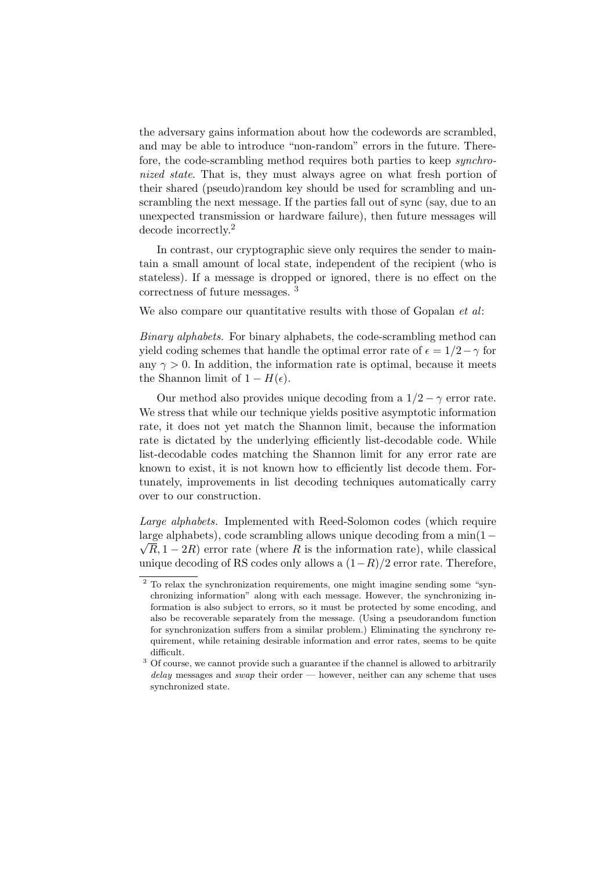the adversary gains information about how the codewords are scrambled, and may be able to introduce "non-random" errors in the future. Therefore, the code-scrambling method requires both parties to keep synchronized state. That is, they must always agree on what fresh portion of their shared (pseudo)random key should be used for scrambling and unscrambling the next message. If the parties fall out of sync (say, due to an unexpected transmission or hardware failure), then future messages will decode incorrectly.<sup>2</sup>

In contrast, our cryptographic sieve only requires the sender to maintain a small amount of local state, independent of the recipient (who is stateless). If a message is dropped or ignored, there is no effect on the correctness of future messages. <sup>3</sup>

We also compare our quantitative results with those of Gopalan *et al:* 

Binary alphabets. For binary alphabets, the code-scrambling method can yield coding schemes that handle the optimal error rate of  $\epsilon = 1/2 - \gamma$  for any  $\gamma > 0$ . In addition, the information rate is optimal, because it meets the Shannon limit of  $1 - H(\epsilon)$ .

Our method also provides unique decoding from a  $1/2 - \gamma$  error rate. We stress that while our technique yields positive asymptotic information rate, it does not yet match the Shannon limit, because the information rate is dictated by the underlying efficiently list-decodable code. While list-decodable codes matching the Shannon limit for any error rate are known to exist, it is not known how to efficiently list decode them. Fortunately, improvements in list decoding techniques automatically carry over to our construction.

Large alphabets. Implemented with Reed-Solomon codes (which require large alphabets), code scrambling allows unique decoding from a min $(1 - \sqrt{2})$  $\sqrt{R}$ , 1 − 2R) error rate (where R is the information rate), while classical unique decoding of RS codes only allows a  $(1-R)/2$  error rate. Therefore,

<sup>&</sup>lt;sup>2</sup> To relax the synchronization requirements, one might imagine sending some "synchronizing information" along with each message. However, the synchronizing information is also subject to errors, so it must be protected by some encoding, and also be recoverable separately from the message. (Using a pseudorandom function for synchronization suffers from a similar problem.) Eliminating the synchrony requirement, while retaining desirable information and error rates, seems to be quite difficult.

<sup>&</sup>lt;sup>3</sup> Of course, we cannot provide such a guarantee if the channel is allowed to arbitrarily delay messages and swap their order — however, neither can any scheme that uses synchronized state.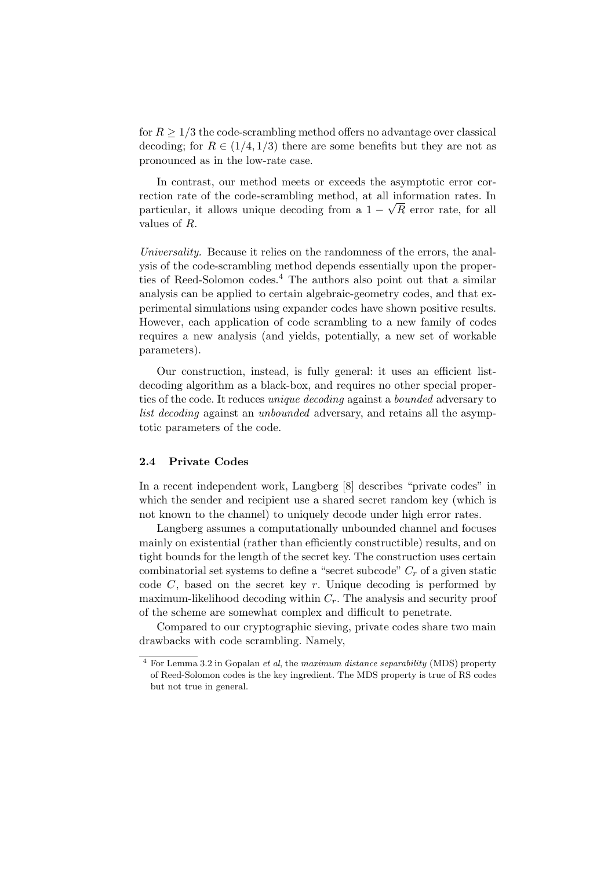for  $R \geq 1/3$  the code-scrambling method offers no advantage over classical decoding; for  $R \in (1/4, 1/3)$  there are some benefits but they are not as pronounced as in the low-rate case.

In contrast, our method meets or exceeds the asymptotic error correction rate of the code-scrambling method, at all information rates. In particular, it allows unique decoding from a  $1 - \sqrt{R}$  error rate, for all values of R.

Universality. Because it relies on the randomness of the errors, the analysis of the code-scrambling method depends essentially upon the properties of Reed-Solomon codes.<sup>4</sup> The authors also point out that a similar analysis can be applied to certain algebraic-geometry codes, and that experimental simulations using expander codes have shown positive results. However, each application of code scrambling to a new family of codes requires a new analysis (and yields, potentially, a new set of workable parameters).

Our construction, instead, is fully general: it uses an efficient listdecoding algorithm as a black-box, and requires no other special properties of the code. It reduces unique decoding against a bounded adversary to list decoding against an unbounded adversary, and retains all the asymptotic parameters of the code.

## 2.4 Private Codes

In a recent independent work, Langberg [8] describes "private codes" in which the sender and recipient use a shared secret random key (which is not known to the channel) to uniquely decode under high error rates.

Langberg assumes a computationally unbounded channel and focuses mainly on existential (rather than efficiently constructible) results, and on tight bounds for the length of the secret key. The construction uses certain combinatorial set systems to define a "secret subcode"  $C_r$  of a given static code  $C$ , based on the secret key  $r$ . Unique decoding is performed by maximum-likelihood decoding within  $C_r$ . The analysis and security proof of the scheme are somewhat complex and difficult to penetrate.

Compared to our cryptographic sieving, private codes share two main drawbacks with code scrambling. Namely,

 $4$  For Lemma 3.2 in Gopalan et al, the maximum distance separability (MDS) property of Reed-Solomon codes is the key ingredient. The MDS property is true of RS codes but not true in general.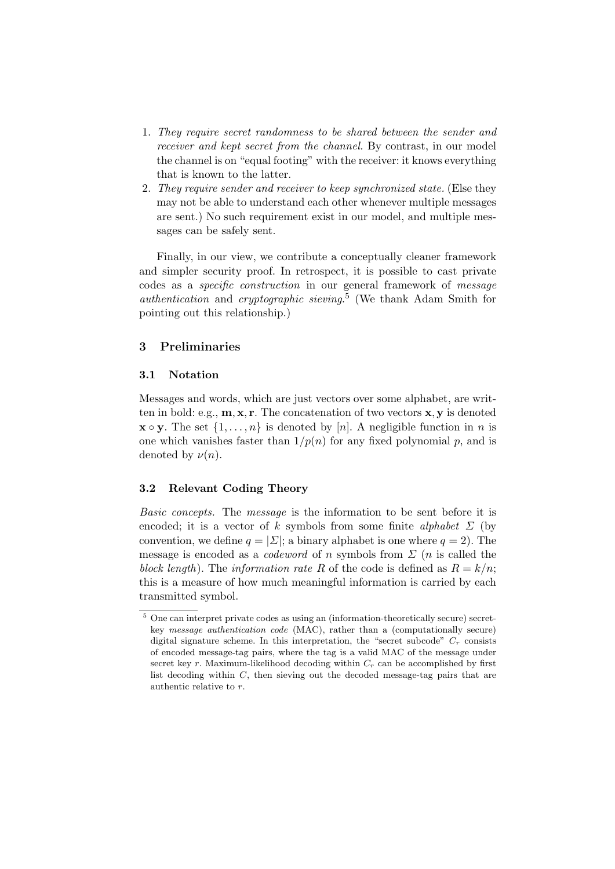- 1. They require secret randomness to be shared between the sender and receiver and kept secret from the channel. By contrast, in our model the channel is on "equal footing" with the receiver: it knows everything that is known to the latter.
- 2. They require sender and receiver to keep synchronized state. (Else they may not be able to understand each other whenever multiple messages are sent.) No such requirement exist in our model, and multiple messages can be safely sent.

Finally, in our view, we contribute a conceptually cleaner framework and simpler security proof. In retrospect, it is possible to cast private codes as a specific construction in our general framework of message authentication and cryptographic sieving.<sup>5</sup> (We thank Adam Smith for pointing out this relationship.)

## 3 Preliminaries

#### 3.1 Notation

Messages and words, which are just vectors over some alphabet, are written in bold: e.g.,  $\mathbf{m}, \mathbf{x}, \mathbf{r}$ . The concatenation of two vectors  $\mathbf{x}, \mathbf{v}$  is denoted  $\mathbf{x} \circ \mathbf{y}$ . The set  $\{1, \ldots, n\}$  is denoted by [n]. A negligible function in n is one which vanishes faster than  $1/p(n)$  for any fixed polynomial p, and is denoted by  $\nu(n)$ .

## 3.2 Relevant Coding Theory

Basic concepts. The message is the information to be sent before it is encoded; it is a vector of k symbols from some finite alphabet  $\Sigma$  (by convention, we define  $q = |\Sigma|$ ; a binary alphabet is one where  $q = 2$ ). The message is encoded as a *codeword* of n symbols from  $\Sigma$  (n is called the block length). The information rate R of the code is defined as  $R = k/n$ ; this is a measure of how much meaningful information is carried by each transmitted symbol.

<sup>5</sup> One can interpret private codes as using an (information-theoretically secure) secretkey message authentication code (MAC), rather than a (computationally secure) digital signature scheme. In this interpretation, the "secret subcode"  $C_r$  consists of encoded message-tag pairs, where the tag is a valid MAC of the message under secret key r. Maximum-likelihood decoding within  $C_r$  can be accomplished by first list decoding within C, then sieving out the decoded message-tag pairs that are authentic relative to r.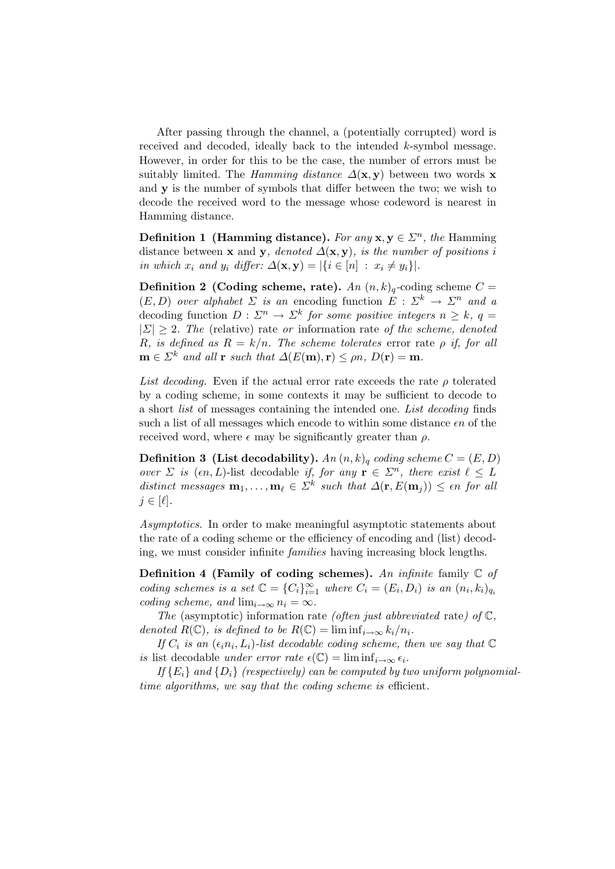After passing through the channel, a (potentially corrupted) word is received and decoded, ideally back to the intended k-symbol message. However, in order for this to be the case, the number of errors must be suitably limited. The Hamming distance  $\Delta(\mathbf{x}, \mathbf{y})$  between two words x and y is the number of symbols that differ between the two; we wish to decode the received word to the message whose codeword is nearest in Hamming distance.

**Definition 1 (Hamming distance).** For any  $x, y \in \mathbb{Z}^n$ , the Hamming distance between x and y, denoted  $\Delta(x, y)$ , is the number of positions i in which  $x_i$  and  $y_i$  differ:  $\Delta(\mathbf{x}, \mathbf{y}) = |\{i \in [n] : x_i \neq y_i\}|.$ 

**Definition 2** (Coding scheme, rate). An  $(n, k)$ <sub>q</sub>-coding scheme  $C =$  $(E, D)$  over alphabet  $\Sigma$  is an encoding function  $E : \Sigma^k \to \Sigma^n$  and a decoding function  $D: \Sigma^n \to \Sigma^k$  for some positive integers  $n \geq k$ ,  $q =$  $|\Sigma| \geq 2$ . The (relative) rate or information rate of the scheme, denoted R, is defined as  $R = k/n$ . The scheme tolerates error rate  $\rho$  if, for all  $\mathbf{m} \in \Sigma^k$  and all  $\mathbf{r}$  such that  $\Delta(E(\mathbf{m}), \mathbf{r}) \leq \rho n$ ,  $D(\mathbf{r}) = \mathbf{m}$ .

List decoding. Even if the actual error rate exceeds the rate  $\rho$  tolerated by a coding scheme, in some contexts it may be sufficient to decode to a short list of messages containing the intended one. List decoding finds such a list of all messages which encode to within some distance  $\epsilon n$  of the received word, where  $\epsilon$  may be significantly greater than  $\rho$ .

**Definition 3** (List decodability). An  $(n, k)$ <sub>a</sub> coding scheme  $C = (E, D)$ over  $\Sigma$  is  $(\epsilon n, L)$ -list decodable if, for any  $\mathbf{r} \in \Sigma^n$ , there exist  $\ell \leq L$ distinct messages  $\mathbf{m}_1, \ldots, \mathbf{m}_\ell \in \Sigma^k$  such that  $\Delta(\mathbf{r}, E(\mathbf{m}_j)) \leq \epsilon n$  for all  $i \in [\ell].$ 

Asymptotics. In order to make meaningful asymptotic statements about the rate of a coding scheme or the efficiency of encoding and (list) decoding, we must consider infinite families having increasing block lengths.

Definition 4 (Family of coding schemes). An infinite family  $\mathbb C$  of coding schemes is a set  $\mathbb{C} = \{C_i\}_{i=1}^{\infty}$  where  $C_i = (E_i, D_i)$  is an  $(n_i, k_i)_{q_i}$ coding scheme, and  $\lim_{i\to\infty} n_i = \infty$ .

The (asymptotic) information rate (often just abbreviated rate) of  $\mathbb{C}$ , denoted  $R(\mathbb{C})$ , is defined to be  $R(\mathbb{C}) = \liminf_{i \to \infty} k_i/n_i$ .

If  $C_i$  is an  $(\epsilon_i n_i, L_i)$ -list decodable coding scheme, then we say that  $\mathbb C$ is list decodable under error rate  $\epsilon(\mathbb{C}) = \liminf_{i \to \infty} \epsilon_i$ .

If  ${E_i}$  and  ${D_i}$  (respectively) can be computed by two uniform polynomialtime algorithms, we say that the coding scheme is efficient.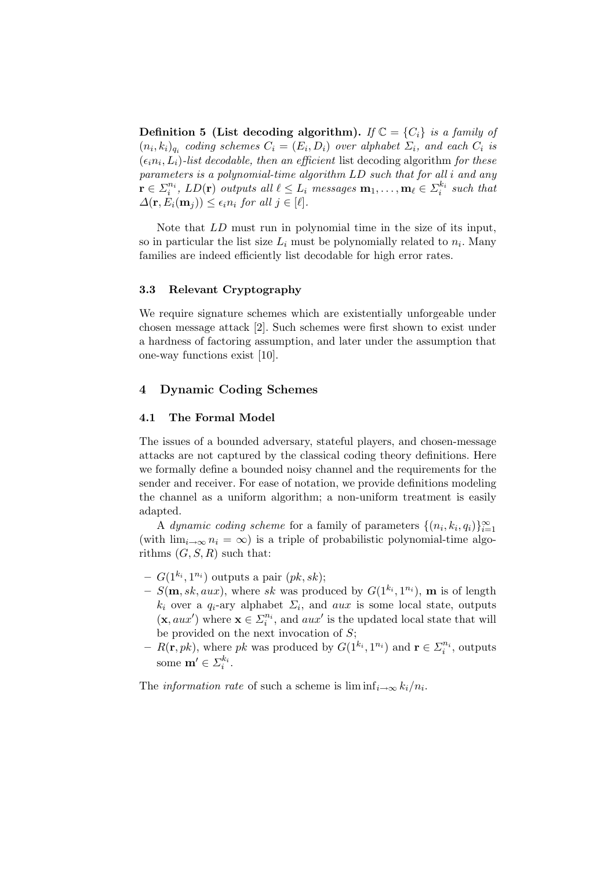**Definition 5 (List decoding algorithm).** If  $\mathbb{C} = \{C_i\}$  is a family of  $(n_i, k_i)_{q_i}$  coding schemes  $C_i = (E_i, D_i)$  over alphabet  $\Sigma_i$ , and each  $C_i$  is  $(\epsilon_i n_i, L_i)$ -list decodable, then an efficient list decoding algorithm for these parameters is a polynomial-time algorithm LD such that for all i and any  $\mathbf{r} \in \Sigma_i^{n_i}$ , LD( $\mathbf{r}$ ) outputs all  $\ell \leq L_i$  messages  $\mathbf{m}_1, \ldots, \mathbf{m}_{\ell} \in \Sigma_i^{k_i}$  such that  $\Delta(\mathbf{r}, E_i(\mathbf{m}_j)) \leq \epsilon_i n_i$  for all  $j \in [\ell].$ 

Note that LD must run in polynomial time in the size of its input, so in particular the list size  $L_i$  must be polynomially related to  $n_i$ . Many families are indeed efficiently list decodable for high error rates.

#### 3.3 Relevant Cryptography

We require signature schemes which are existentially unforgeable under chosen message attack [2]. Such schemes were first shown to exist under a hardness of factoring assumption, and later under the assumption that one-way functions exist [10].

## 4 Dynamic Coding Schemes

#### 4.1 The Formal Model

The issues of a bounded adversary, stateful players, and chosen-message attacks are not captured by the classical coding theory definitions. Here we formally define a bounded noisy channel and the requirements for the sender and receiver. For ease of notation, we provide definitions modeling the channel as a uniform algorithm; a non-uniform treatment is easily adapted.

A dynamic coding scheme for a family of parameters  $\{(n_i, k_i, q_i)\}_{i=1}^{\infty}$ (with  $\lim_{i\to\infty} n_i = \infty$ ) is a triple of probabilistic polynomial-time algorithms  $(G, S, R)$  such that:

- $G(1^{k_i}, 1^{n_i})$  outputs a pair  $(pk, sk);$
- $-S(m, sk, aux)$ , where sk was produced by  $G(1^{k_i}, 1^{n_i})$ , m is of length  $k_i$  over a  $q_i$ -ary alphabet  $\Sigma_i$ , and aux is some local state, outputs  $(\mathbf{x}, aux')$  where  $\mathbf{x} \in \sum_{i}^{n_i}$ , and  $aux'$  is the updated local state that will be provided on the next invocation of  $S$ ;
- $R(\mathbf{r}, p k)$ , where  $p k$  was produced by  $G(1^{k_i}, 1^{n_i})$  and  $\mathbf{r} \in \Sigma_i^{n_i}$ , outputs some  $\mathbf{m}' \in \sum_{i}^{k_i}$ .

The *information rate* of such a scheme is  $\liminf_{i\to\infty} k_i/n_i$ .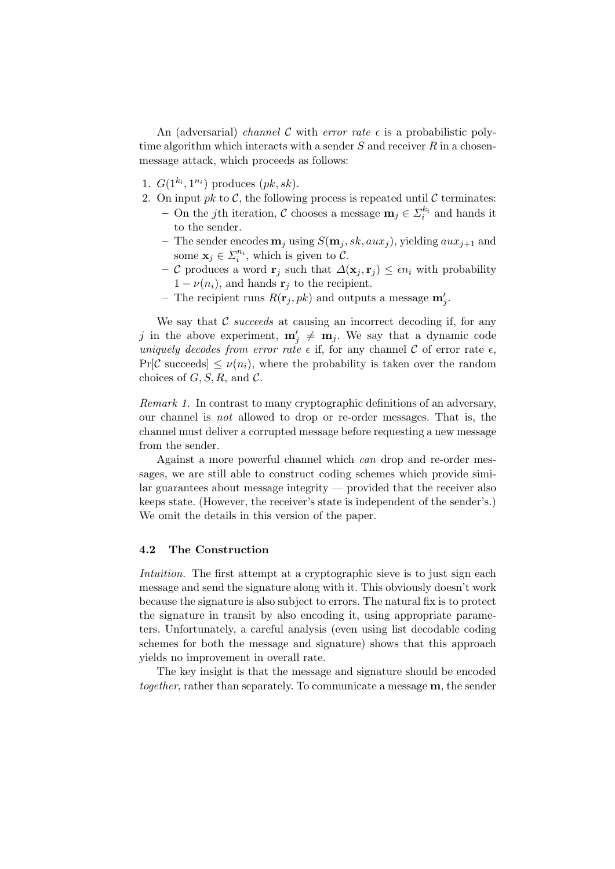An (adversarial) *channel* C with *error rate*  $\epsilon$  is a probabilistic polytime algorithm which interacts with a sender  $S$  and receiver  $R$  in a chosenmessage attack, which proceeds as follows:

- 1.  $G(1^{k_i}, 1^{n_i})$  produces  $(pk, sk)$ .
- 2. On input pk to  $\mathcal{C}$ , the following process is repeated until  $\mathcal{C}$  terminates:
	- − On the *j*th iteration,  $\mathcal{C}$  chooses a message  $\mathbf{m}_j \in \sum_i^{k_i}$  and hands it to the sender.
	- The sender encodes  $\mathbf{m}_i$  using  $S(\mathbf{m}_i, sk, aux_j)$ , yielding  $aux_{j+1}$  and some  $\mathbf{x}_j \in \sum_i^{n_i}$ , which is given to  $\mathcal{C}$ .
	- C produces a word  $\mathbf{r}_j$  such that  $\Delta(\mathbf{x}_j, \mathbf{r}_j)$  ≤  $\epsilon n_i$  with probability  $1 - \nu(n_i)$ , and hands  $\mathbf{r}_i$  to the recipient.
	- The recipient runs  $R(\mathbf{r}_j, pk)$  and outputs a message  $\mathbf{m}'_j$ .

We say that  $\mathcal C$  succeeds at causing an incorrect decoding if, for any j in the above experiment,  $\mathbf{m}'_j \neq \mathbf{m}_j$ . We say that a dynamic code uniquely decodes from error rate  $\epsilon$  if, for any channel C of error rate  $\epsilon$ ,  $Pr[\mathcal{C} \text{ succeeds}] \leq \nu(n_i),$  where the probability is taken over the random choices of  $G, S, R$ , and  $C$ .

Remark 1. In contrast to many cryptographic definitions of an adversary, our channel is not allowed to drop or re-order messages. That is, the channel must deliver a corrupted message before requesting a new message from the sender.

Against a more powerful channel which can drop and re-order messages, we are still able to construct coding schemes which provide similar guarantees about message integrity — provided that the receiver also keeps state. (However, the receiver's state is independent of the sender's.) We omit the details in this version of the paper.

## 4.2 The Construction

Intuition. The first attempt at a cryptographic sieve is to just sign each message and send the signature along with it. This obviously doesn't work because the signature is also subject to errors. The natural fix is to protect the signature in transit by also encoding it, using appropriate parameters. Unfortunately, a careful analysis (even using list decodable coding schemes for both the message and signature) shows that this approach yields no improvement in overall rate.

The key insight is that the message and signature should be encoded together, rather than separately. To communicate a message m, the sender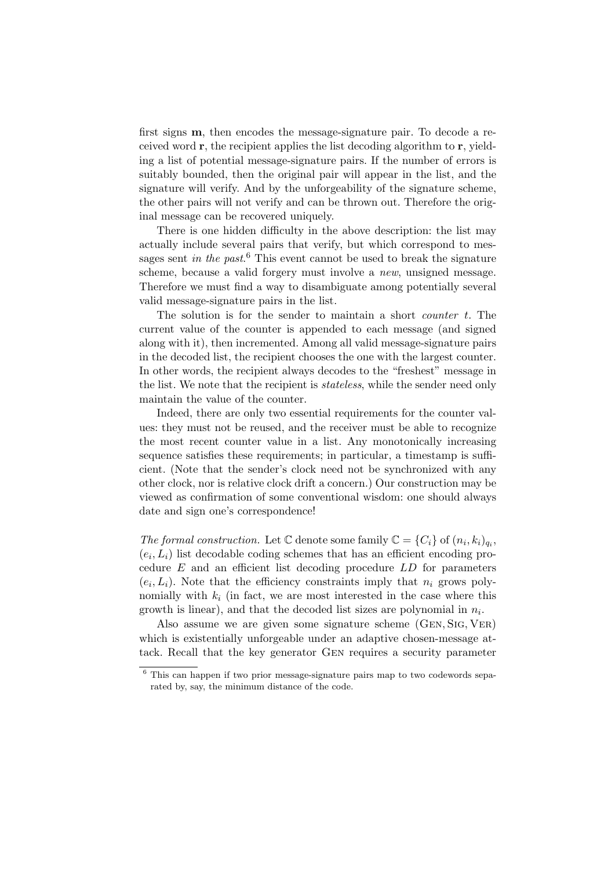first signs m, then encodes the message-signature pair. To decode a received word r, the recipient applies the list decoding algorithm to r, yielding a list of potential message-signature pairs. If the number of errors is suitably bounded, then the original pair will appear in the list, and the signature will verify. And by the unforgeability of the signature scheme, the other pairs will not verify and can be thrown out. Therefore the original message can be recovered uniquely.

There is one hidden difficulty in the above description: the list may actually include several pairs that verify, but which correspond to messages sent *in the past*.<sup>6</sup> This event cannot be used to break the signature scheme, because a valid forgery must involve a *new*, unsigned message. Therefore we must find a way to disambiguate among potentially several valid message-signature pairs in the list.

The solution is for the sender to maintain a short counter t. The current value of the counter is appended to each message (and signed along with it), then incremented. Among all valid message-signature pairs in the decoded list, the recipient chooses the one with the largest counter. In other words, the recipient always decodes to the "freshest" message in the list. We note that the recipient is stateless, while the sender need only maintain the value of the counter.

Indeed, there are only two essential requirements for the counter values: they must not be reused, and the receiver must be able to recognize the most recent counter value in a list. Any monotonically increasing sequence satisfies these requirements; in particular, a timestamp is sufficient. (Note that the sender's clock need not be synchronized with any other clock, nor is relative clock drift a concern.) Our construction may be viewed as confirmation of some conventional wisdom: one should always date and sign one's correspondence!

The formal construction. Let  $\mathbb C$  denote some family  $\mathbb C = \{C_i\}$  of  $(n_i, k_i)_{q_i}$ ,  $(e_i, L_i)$  list decodable coding schemes that has an efficient encoding procedure E and an efficient list decoding procedure LD for parameters  $(e_i, L_i)$ . Note that the efficiency constraints imply that  $n_i$  grows polynomially with  $k_i$  (in fact, we are most interested in the case where this growth is linear), and that the decoded list sizes are polynomial in  $n_i$ .

Also assume we are given some signature scheme (Gen, Sig, Ver) which is existentially unforgeable under an adaptive chosen-message attack. Recall that the key generator Gen requires a security parameter

 $6$  This can happen if two prior message-signature pairs map to two codewords separated by, say, the minimum distance of the code.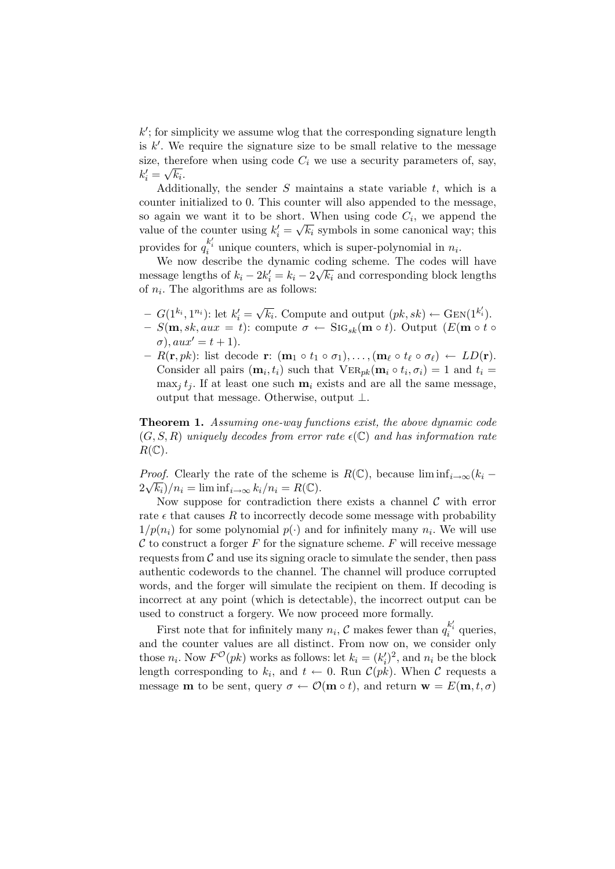$k'$ ; for simplicity we assume wlog that the corresponding signature length is  $k'$ . We require the signature size to be small relative to the message size, therefore when using code  $C_i$  we use a security parameters of, say,  $k'_i = \sqrt{k_i}.$ 

Additionally, the sender  $S$  maintains a state variable  $t$ , which is a counter initialized to 0. This counter will also appended to the message, so again we want it to be short. When using code  $C_i$ , we append the value of the counter using  $k'_i = \sqrt{k_i}$  symbols in some canonical way; this provides for  $q_i^{k'_i}$  unique counters, which is super-polynomial in  $n_i$ .

We now describe the dynamic coding scheme. The codes will have message lengths of  $k_i - 2k'_i = k_i - 2\sqrt{k_i}$  and corresponding block lengths of  $n_i$ . The algorithms are as follows:

- $-G(1^{k_i}, 1^{n_i})$ : let  $k'_i =$ √  $\overline{k_i}$ . Compute and output  $(pk, sk) \leftarrow$  GEN $(1^{k'_i})$ .
- $-S(\mathbf{m}, sk, aux = t):$  compute  $\sigma \leftarrow \text{SIG}_{sk}(\mathbf{m} \circ t)$ . Output  $(E(\mathbf{m} \circ t \circ$  $\sigma$ ),  $aux' = t + 1$ ).
- $-R(\mathbf{r}, p k)$ : list decode  $\mathbf{r}: (\mathbf{m}_1 \circ t_1 \circ \sigma_1), \ldots, (\mathbf{m}_\ell \circ t_\ell \circ \sigma_\ell) \leftarrow LD(\mathbf{r}).$ Consider all pairs  $(m_i, t_i)$  such that  $VER_{pk}(m_i \circ t_i, \sigma_i) = 1$  and  $t_i =$  $\max_i t_i$ . If at least one such  $m_i$  exists and are all the same message, output that message. Otherwise, output ⊥.

Theorem 1. Assuming one-way functions exist, the above dynamic code  $(G, S, R)$  uniquely decodes from error rate  $\epsilon(\mathbb{C})$  and has information rate  $R(\mathbb{C})$ .

*Proof.* Clearly the rate of the scheme is  $R(\mathbb{C})$ , because  $\liminf_{i\to\infty} (k_i - \mathbb{C})$  $2\sqrt{k_i}$ / $n_i = \liminf_{i \to \infty} k_i/n_i = R(\mathbb{C}).$ 

Now suppose for contradiction there exists a channel  $\mathcal C$  with error rate  $\epsilon$  that causes R to incorrectly decode some message with probability  $1/p(n_i)$  for some polynomial  $p(\cdot)$  and for infinitely many  $n_i$ . We will use  $\mathcal C$  to construct a forger  $F$  for the signature scheme.  $F$  will receive message requests from  $\mathcal C$  and use its signing oracle to simulate the sender, then pass authentic codewords to the channel. The channel will produce corrupted words, and the forger will simulate the recipient on them. If decoding is incorrect at any point (which is detectable), the incorrect output can be used to construct a forgery. We now proceed more formally.

First note that for infinitely many  $n_i$ , C makes fewer than  $q_i^{k'_i}$  queries, and the counter values are all distinct. From now on, we consider only those  $n_i$ . Now  $F^{\mathcal{O}}(pk)$  works as follows: let  $k_i = (k'_i)^2$ , and  $n_i$  be the block length corresponding to  $k_i$ , and  $t \leftarrow 0$ . Run  $\mathcal{C}(pk)$ . When  $\mathcal C$  requests a message **m** to be sent, query  $\sigma \leftarrow \mathcal{O}(\mathbf{m} \circ t)$ , and return  $\mathbf{w} = E(\mathbf{m}, t, \sigma)$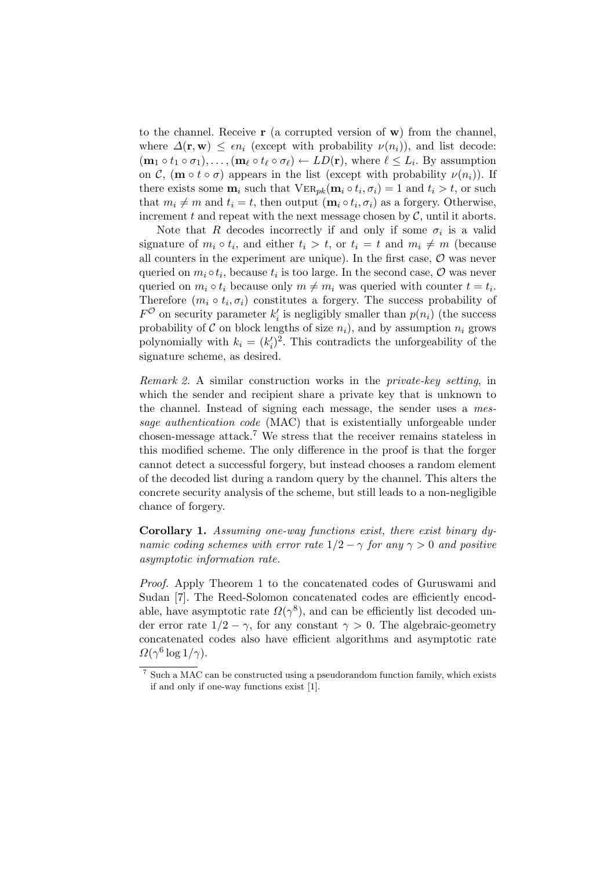to the channel. Receive  $\mathbf r$  (a corrupted version of  $\mathbf w$ ) from the channel, where  $\Delta(\mathbf{r}, \mathbf{w}) \leq \epsilon n_i$  (except with probability  $\nu(n_i)$ ), and list decode:  $(\mathbf{m}_1 \circ t_1 \circ \sigma_1), \ldots, (\mathbf{m}_\ell \circ t_\ell \circ \sigma_\ell) \leftarrow LD(\mathbf{r}),$  where  $\ell \leq L_i$ . By assumption on  $\mathcal{C}$ ,  $(\mathbf{m} \circ t \circ \sigma)$  appears in the list (except with probability  $\nu(n_i)$ ). If there exists some  $\mathbf{m}_i$  such that  $VER_{pk}(\mathbf{m}_i \circ t_i, \sigma_i) = 1$  and  $t_i > t$ , or such that  $m_i \neq m$  and  $t_i = t$ , then output  $(\mathbf{m}_i \circ t_i, \sigma_i)$  as a forgery. Otherwise, increment t and repeat with the next message chosen by  $\mathcal{C}$ , until it aborts.

Note that R decodes incorrectly if and only if some  $\sigma_i$  is a valid signature of  $m_i \circ t_i$ , and either  $t_i > t$ , or  $t_i = t$  and  $m_i \neq m$  (because all counters in the experiment are unique). In the first case,  $\mathcal{O}$  was never queried on  $m_i \circ t_i$ , because  $t_i$  is too large. In the second case,  $\mathcal O$  was never queried on  $m_i \circ t_i$  because only  $m \neq m_i$  was queried with counter  $t = t_i$ . Therefore  $(m_i \circ t_i, \sigma_i)$  constitutes a forgery. The success probability of  $F^{\mathcal{O}}$  on security parameter  $k_i'$  is negligibly smaller than  $p(n_i)$  (the success probability of C on block lengths of size  $n_i$ ), and by assumption  $n_i$  grows polynomially with  $k_i = (k'_i)^2$ . This contradicts the unforgeability of the signature scheme, as desired.

Remark 2. A similar construction works in the private-key setting, in which the sender and recipient share a private key that is unknown to the channel. Instead of signing each message, the sender uses a message authentication code (MAC) that is existentially unforgeable under chosen-message attack.<sup>7</sup> We stress that the receiver remains stateless in this modified scheme. The only difference in the proof is that the forger cannot detect a successful forgery, but instead chooses a random element of the decoded list during a random query by the channel. This alters the concrete security analysis of the scheme, but still leads to a non-negligible chance of forgery.

Corollary 1. Assuming one-way functions exist, there exist binary dynamic coding schemes with error rate  $1/2 - \gamma$  for any  $\gamma > 0$  and positive asymptotic information rate.

Proof. Apply Theorem 1 to the concatenated codes of Guruswami and Sudan [7]. The Reed-Solomon concatenated codes are efficiently encodable, have asymptotic rate  $\Omega(\gamma^8)$ , and can be efficiently list decoded under error rate  $1/2 - \gamma$ , for any constant  $\gamma > 0$ . The algebraic-geometry concatenated codes also have efficient algorithms and asymptotic rate  $\Omega(\gamma^6 \log 1/\gamma).$ 

 $\frac{7}{7}$  Such a MAC can be constructed using a pseudorandom function family, which exists if and only if one-way functions exist [1].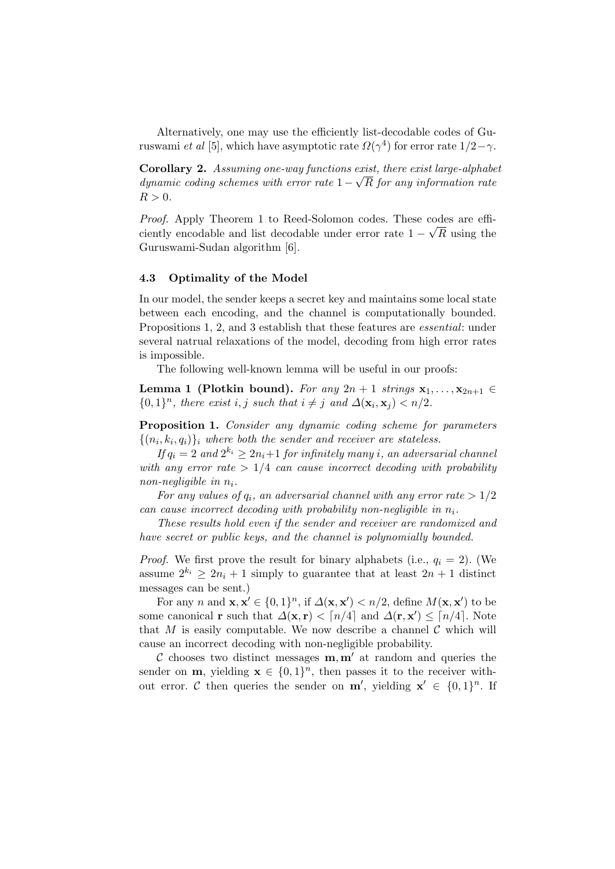Alternatively, one may use the efficiently list-decodable codes of Guruswami *et al* [5], which have asymptotic rate  $\Omega(\gamma^4)$  for error rate  $1/2 - \gamma$ .

**Corollary 2.** Assuming one-way functions exist, there exist large-alphabet dynamic coding schemes with error rate  $1 - \sqrt{R}$  for any information rate  $R > 0$ .

*Proof.* Apply Theorem 1 to Reed-Solomon codes. These codes are efficiently encodable and list decodable under error rate  $1 - \sqrt{R}$  using the Guruswami-Sudan algorithm [6].

## 4.3 Optimality of the Model

In our model, the sender keeps a secret key and maintains some local state between each encoding, and the channel is computationally bounded. Propositions 1, 2, and 3 establish that these features are *essential*: under several natrual relaxations of the model, decoding from high error rates is impossible.

The following well-known lemma will be useful in our proofs:

Lemma 1 (Plotkin bound). For any  $2n + 1$  strings  $\mathbf{x}_1, \ldots, \mathbf{x}_{2n+1} \in$  $\{0,1\}^n$ , there exist i, j such that  $i \neq j$  and  $\Delta(\mathbf{x}_i, \mathbf{x}_j) < n/2$ .

Proposition 1. Consider any dynamic coding scheme for parameters  $\{(n_i, k_i, q_i)\}\$ <sub>i</sub> where both the sender and receiver are stateless.

If  $q_i = 2$  and  $2^{k_i} \ge 2n_i+1$  for infinitely many i, an adversarial channel with any error rate  $> 1/4$  can cause incorrect decoding with probability non-negligible in  $n_i$ .

For any values of  $q_i$ , an adversarial channel with any error rate  $> 1/2$ can cause incorrect decoding with probability non-negligible in  $n_i$ .

These results hold even if the sender and receiver are randomized and have secret or public keys, and the channel is polynomially bounded.

*Proof.* We first prove the result for binary alphabets (i.e.,  $q_i = 2$ ). (We assume  $2^{k_i} > 2n_i + 1$  simply to guarantee that at least  $2n + 1$  distinct messages can be sent.)

For any n and  $\mathbf{x}, \mathbf{x}' \in \{0,1\}^n$ , if  $\Delta(\mathbf{x}, \mathbf{x}') < n/2$ , define  $M(\mathbf{x}, \mathbf{x}')$  to be some canonical **r** such that  $\Delta(\mathbf{x}, \mathbf{r}) < [n/4]$  and  $\Delta(\mathbf{r}, \mathbf{x}') \leq [n/4]$ . Note that M is easily computable. We now describe a channel  $\mathcal C$  which will cause an incorrect decoding with non-negligible probability.

C chooses two distinct messages  $\mathbf{m}, \mathbf{m}'$  at random and queries the sender on **m**, yielding  $\mathbf{x} \in \{0,1\}^n$ , then passes it to the receiver without error. C then queries the sender on  $\mathbf{m}'$ , yielding  $\mathbf{x}' \in \{0,1\}^n$ . If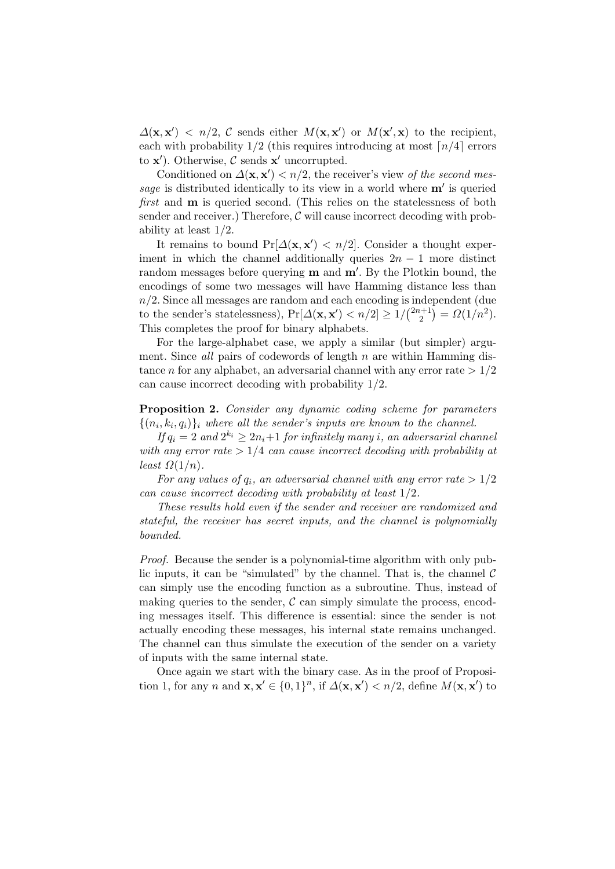$\Delta(\mathbf{x}, \mathbf{x}')$  < n/2, C sends either  $M(\mathbf{x}, \mathbf{x}')$  or  $M(\mathbf{x}', \mathbf{x})$  to the recipient, each with probability  $1/2$  (this requires introducing at most  $\lceil n/4 \rceil$  errors to  $x'$ ). Otherwise,  $C$  sends  $x'$  uncorrupted.

Conditioned on  $\Delta(\mathbf{x}, \mathbf{x}') < n/2$ , the receiver's view of the second message is distributed identically to its view in a world where  $m'$  is queried first and **m** is queried second. (This relies on the statelessness of both sender and receiver.) Therefore,  $\mathcal C$  will cause incorrect decoding with probability at least 1/2.

It remains to bound  $Pr[\Delta(\mathbf{x}, \mathbf{x}') < n/2]$ . Consider a thought experiment in which the channel additionally queries  $2n - 1$  more distinct random messages before querying  **and**  $**m'**$ **. By the Plotkin bound, the** encodings of some two messages will have Hamming distance less than  $n/2$ . Since all messages are random and each encoding is independent (due to the sender's statelessness),  $Pr[\Delta(\mathbf{x}, \mathbf{x}') < n/2] \ge 1/(2n+1)$  $\binom{n+1}{2} = \Omega(1/n^2).$ This completes the proof for binary alphabets.

For the large-alphabet case, we apply a similar (but simpler) argument. Since all pairs of codewords of length  $n$  are within Hamming distance *n* for any alphabet, an adversarial channel with any error rate  $> 1/2$ can cause incorrect decoding with probability 1/2.

Proposition 2. Consider any dynamic coding scheme for parameters  $\{(n_i, k_i, q_i)\}\$ i where all the sender's inputs are known to the channel.

If  $q_i = 2$  and  $2^{k_i} \ge 2n_i+1$  for infinitely many i, an adversarial channel with any error rate  $> 1/4$  can cause incorrect decoding with probability at least  $\Omega(1/n)$ .

For any values of  $q_i$ , an adversarial channel with any error rate  $> 1/2$ can cause incorrect decoding with probability at least 1/2.

These results hold even if the sender and receiver are randomized and stateful, the receiver has secret inputs, and the channel is polynomially bounded.

Proof. Because the sender is a polynomial-time algorithm with only public inputs, it can be "simulated" by the channel. That is, the channel  $\mathcal C$ can simply use the encoding function as a subroutine. Thus, instead of making queries to the sender,  $\mathcal C$  can simply simulate the process, encoding messages itself. This difference is essential: since the sender is not actually encoding these messages, his internal state remains unchanged. The channel can thus simulate the execution of the sender on a variety of inputs with the same internal state.

Once again we start with the binary case. As in the proof of Proposition 1, for any n and  $\mathbf{x}, \mathbf{x}' \in \{0, 1\}^n$ , if  $\Delta(\mathbf{x}, \mathbf{x}') < n/2$ , define  $M(\mathbf{x}, \mathbf{x}')$  to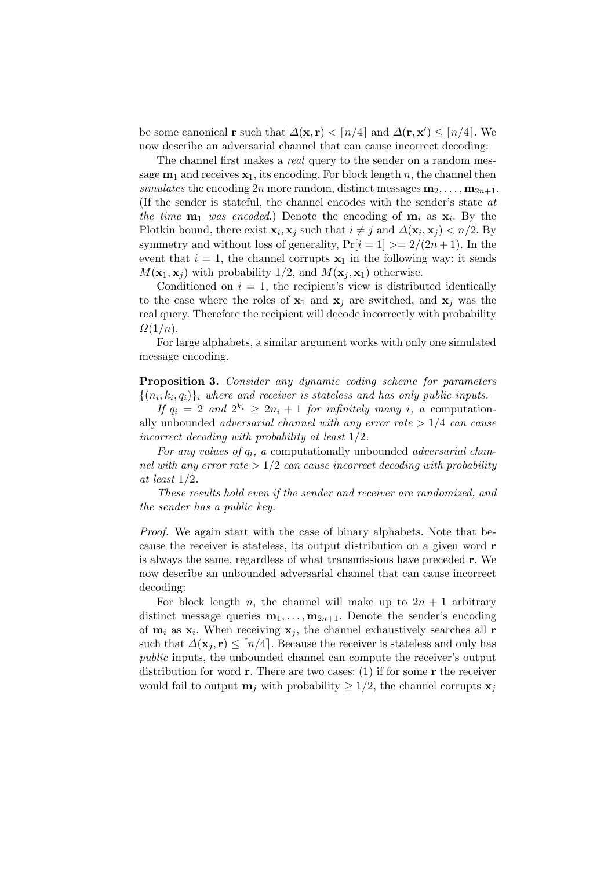be some canonical **r** such that  $\Delta(\mathbf{x}, \mathbf{r}) < [n/4]$  and  $\Delta(\mathbf{r}, \mathbf{x}') \leq [n/4]$ . We now describe an adversarial channel that can cause incorrect decoding:

The channel first makes a *real* query to the sender on a random message  $m_1$  and receives  $x_1$ , its encoding. For block length n, the channel then simulates the encoding  $2n$  more random, distinct messages  $\mathbf{m}_2, \ldots, \mathbf{m}_{2n+1}$ . (If the sender is stateful, the channel encodes with the sender's state at the time  $m_1$  was encoded.) Denote the encoding of  $m_i$  as  $x_i$ . By the Plotkin bound, there exist  $\mathbf{x}_i, \mathbf{x}_j$  such that  $i \neq j$  and  $\Delta(\mathbf{x}_i, \mathbf{x}_j) < n/2$ . By symmetry and without loss of generality,  $Pr[i = 1] > = 2/(2n + 1)$ . In the event that  $i = 1$ , the channel corrupts  $x_1$  in the following way: it sends  $M(\mathbf{x}_1, \mathbf{x}_j)$  with probability 1/2, and  $M(\mathbf{x}_i, \mathbf{x}_1)$  otherwise.

Conditioned on  $i = 1$ , the recipient's view is distributed identically to the case where the roles of  $x_1$  and  $x_j$  are switched, and  $x_j$  was the real query. Therefore the recipient will decode incorrectly with probability  $\Omega(1/n)$ .

For large alphabets, a similar argument works with only one simulated message encoding.

Proposition 3. Consider any dynamic coding scheme for parameters  $\{(n_i, k_i, q_i)\}\$ i where and receiver is stateless and has only public inputs.

If  $q_i = 2$  and  $2^{k_i} \geq 2n_i + 1$  for infinitely many i, a computationally unbounded *adversarial channel with any error rate*  $> 1/4$  *can cause* incorrect decoding with probability at least 1/2.

For any values of  $q_i$ , a computationally unbounded adversarial channel with any error rate  $> 1/2$  can cause incorrect decoding with probability at least  $1/2$ .

These results hold even if the sender and receiver are randomized, and the sender has a public key.

Proof. We again start with the case of binary alphabets. Note that because the receiver is stateless, its output distribution on a given word r is always the same, regardless of what transmissions have preceded r. We now describe an unbounded adversarial channel that can cause incorrect decoding:

For block length n, the channel will make up to  $2n + 1$  arbitrary distinct message queries  $m_1, \ldots, m_{2n+1}$ . Denote the sender's encoding of  $\mathbf{m}_i$  as  $\mathbf{x}_i$ . When receiving  $\mathbf{x}_j$ , the channel exhaustively searches all r such that  $\Delta(\mathbf{x}_i, \mathbf{r}) \leq [n/4]$ . Because the receiver is stateless and only has public inputs, the unbounded channel can compute the receiver's output distribution for word  $\mathbf r$ . There are two cases: (1) if for some  $\mathbf r$  the receiver would fail to output  $\mathbf{m}_i$  with probability  $\geq 1/2$ , the channel corrupts  $\mathbf{x}_i$